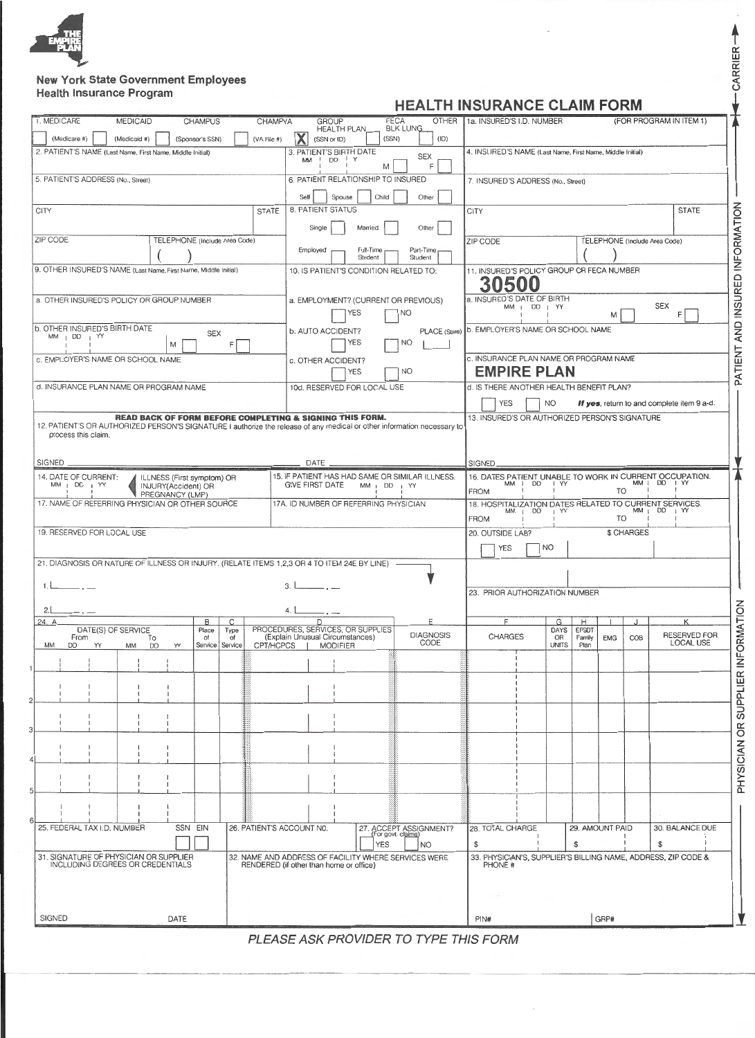

## **New York State Government Employees** Health Insurance Program

## **HEALTH INSURANCE CLAIM FORM**

CARRIER-

| <b>CHAMPUS</b><br>1. MEDICARE<br><b>MEDICAID</b>                                                                                               | <b>FECA</b><br><b>OTHER</b><br><b>CHAMPVA</b><br><b>GROUP</b><br><b>HEALTH PLAN</b><br><b>BLK LUNG</b>                   | (FOR PROGRAM IN ITEM 1)<br>1a. INSURED'S I.D. NUMBER                                                                                                  |
|------------------------------------------------------------------------------------------------------------------------------------------------|--------------------------------------------------------------------------------------------------------------------------|-------------------------------------------------------------------------------------------------------------------------------------------------------|
| (Sponsor's SSN)<br>(Medicare #)<br>(Medicaid #)                                                                                                | (ID)<br>(SSN)<br>(YA File #)<br>(SSN or ID)                                                                              |                                                                                                                                                       |
| 2. PATIENT'S NAME (Last Name, First Name, Middle Initial)                                                                                      | 3. PATIENT'S BIRTH DATE<br><b>SEX</b><br><b>DD</b><br>MM<br>ΙY<br>F<br>M                                                 | 4. INSURED'S NAME (Last Name, First Name, Middle Initial)                                                                                             |
| 5. PATIENT'S ADDRESS (No., Street)                                                                                                             | 6. PATIENT RELATIONSHIP TO INSURED                                                                                       | 7. INSURED'S ADDRESS (No., Street)                                                                                                                    |
| <b>CITY</b>                                                                                                                                    | Child<br>Other<br>Spouse<br>Self<br><b>8. PATIENT STATUS</b><br><b>STATE</b>                                             | <b>STATE</b><br><b>CITY</b>                                                                                                                           |
|                                                                                                                                                | Other<br>Single<br>Married                                                                                               |                                                                                                                                                       |
| ZIP CODE<br>TELEPHONE (Include Area Code)                                                                                                      |                                                                                                                          | ZIP CODE<br>TELEPHONE (Include Area Code)                                                                                                             |
|                                                                                                                                                | Employed<br>Full-Time<br>Part-Time<br>Student<br>Student                                                                 |                                                                                                                                                       |
| 9. OTHER INSURED'S NAME (Last Name, First Name, Middle Initial)                                                                                | 10. IS PATIENT'S CONDITION RELATED TO:                                                                                   | 11. INSURED'S POLICY GROUP OR FECA NUMBER<br>30500                                                                                                    |
| a. OTHER INSURED'S POLICY OR GROUP NUMBER                                                                                                      | a. EMPLOYMENT? (CURRENT OR PREVIOUS)                                                                                     | a. INSURED'S DATE OF BIRTH<br><b>SEX</b><br>$MM$ ; $DD$ ; $YY$                                                                                        |
|                                                                                                                                                | YES<br><b>NO</b>                                                                                                         | F<br>M                                                                                                                                                |
| b. OTHER INSURED'S BIRTH DATE<br><b>SEX</b><br>$MM$ $DD$ $N$<br>M                                                                              | b. AUTO ACCIDENT?<br>PLACE (State)<br><b>YES</b><br>NO.                                                                  | b. EMPLOYER'S NAME OR SCHOOL NAME                                                                                                                     |
| F<br>c. EMPLOYER'S NAME OR SCHOOL NAME                                                                                                         | c. OTHER ACCIDENT?                                                                                                       | C. INSURANCE PLAN NAME OR PROGRAM NAME                                                                                                                |
|                                                                                                                                                | <b>YES</b><br><b>NO</b>                                                                                                  | <b>EMPIRE PLAN</b>                                                                                                                                    |
| d. INSURANCE PLAN NAME OR PROGRAM NAME                                                                                                         | 10d. RESERVED FOR LOCAL USE                                                                                              | d. IS THERE ANOTHER HEALTH BENEFIT PLAN?                                                                                                              |
| <b>READ BACK OF FORM BEFORE COMPLETING &amp; SIGNING THIS FORM.</b>                                                                            |                                                                                                                          | If yes, return to and complete item 9 a-d.<br><b>NO</b><br>YES<br>13. INSURED'S OR AUTHORIZED PERSON'S SIGNATURE                                      |
| 12. PATIENT'S OR AUTHORIZED PERSON'S SIGNATURE I authorize the release of any medical or other information necessary to<br>process this claim. |                                                                                                                          |                                                                                                                                                       |
|                                                                                                                                                |                                                                                                                          |                                                                                                                                                       |
| SIGNED                                                                                                                                         | DATE                                                                                                                     | SIGNED                                                                                                                                                |
| 14. DATE OF CURRENT:<br>ILLNESS (First symptom) OR<br>$MM$ $[DD$ $[YY]$<br>INJURY(Accident) OR                                                 | 15. IF PATIENT HAS HAD SAME OR SIMILAR ILLNESS.<br><b>GIVE FIRST DATE</b><br>$MM$ $IDD$ $I$ $YY$                         | 16. DATES PATIENT UNABLE TO WORK IN CURRENT OCCUPATION.<br>MM I DD I YY<br>MM 1 DD<br>IYY<br><b>FROM</b><br>TO                                        |
| PREGNANCY (LMP)<br>17. NAME OF REFERRING PHYSICIAN OR OTHER SOURCE                                                                             | 17A. ID NUMBER OF REFERRING PHYSICIAN                                                                                    | 18. HOSPITALIZATION DATES RELATED TO CURRENT SERVICES.<br>$MM$   DD   YY<br>$MM + DD$<br>1 <sup>YY</sup>                                              |
|                                                                                                                                                |                                                                                                                          | <b>FROM</b><br>TO<br>20. OUTSIDE LAB?<br><b>\$ CHARGES</b>                                                                                            |
| 19. RESERVED FOR LOCAL USE                                                                                                                     |                                                                                                                          | <b>NO</b><br><b>YES</b>                                                                                                                               |
| 21. DIAGNOSIS OR NATURE OF ILLNESS OR INJURY. (RELATE ITEMS 1,2,3 OR 4 TO ITEM 24E BY LINE)                                                    |                                                                                                                          |                                                                                                                                                       |
| 1. L                                                                                                                                           |                                                                                                                          |                                                                                                                                                       |
|                                                                                                                                                |                                                                                                                          | 23. PRIOR AUTHORIZATION NUMBER                                                                                                                        |
| 2.1<br>24. A<br>B<br>C                                                                                                                         |                                                                                                                          | К<br>F<br>G<br>Н                                                                                                                                      |
| DATE(S) OF SERVICE<br>Place<br>Type<br>From<br>of<br>of<br>To<br>MM<br><b>DD</b><br>YY<br>Service   Service<br>YY                              | PROCEDURES, SERVICES, OR SUPPLIES<br><b>DIAGNOSIS</b><br>(Explain Unusual Circumstances)<br>CODE<br>CPT/HCPCS   MODIFIER | <b>EPSDT</b><br><b>DAYS</b><br><b>RESERVED FOR</b><br><b>CHARGES</b><br>OR<br>Family<br><b>EMG</b><br>COB<br><b>LOCAL USE</b><br><b>UNITS</b><br>Plan |
| MM<br><b>DD</b><br>$\mathbf{I}$<br>$\overline{\phantom{a}}$<br>÷                                                                               | $\mathbf{1}$ $\mathbf{1}$                                                                                                |                                                                                                                                                       |
|                                                                                                                                                |                                                                                                                          |                                                                                                                                                       |
|                                                                                                                                                |                                                                                                                          |                                                                                                                                                       |
|                                                                                                                                                |                                                                                                                          |                                                                                                                                                       |
|                                                                                                                                                |                                                                                                                          |                                                                                                                                                       |
|                                                                                                                                                |                                                                                                                          |                                                                                                                                                       |
|                                                                                                                                                |                                                                                                                          |                                                                                                                                                       |
|                                                                                                                                                |                                                                                                                          |                                                                                                                                                       |
|                                                                                                                                                |                                                                                                                          |                                                                                                                                                       |
| 25. FEDERAL TAX I.D. NUMBER<br>SSN EIN                                                                                                         | 27. ACCEPT ASSIGNMENT?<br>26. PATIENT'S ACCOUNT NO.<br>For govt. claims)                                                 | 30. BALANCE DUE<br>28. TOTAL CHARGE<br>29. AMOUNT PAID                                                                                                |
|                                                                                                                                                | <b>YES</b><br><b>NO</b>                                                                                                  | \$<br>\$<br>\$                                                                                                                                        |
| 31. SIGNATURE OF PHYSICIAN OR SUPPLIER<br>INCLUDING DEGREES OR CREDENTIALS                                                                     | 32. NAME AND ADDRESS OF FACILITY WHERE SERVICES WERE<br>RENDERED (if other than home or office)                          | 33. PHYSICIAN'S, SUPPLIER'S BILLING NAME, ADDRESS, ZIP CODE &<br>PHONE #                                                                              |
|                                                                                                                                                |                                                                                                                          |                                                                                                                                                       |
|                                                                                                                                                |                                                                                                                          |                                                                                                                                                       |
| <b>SIGNED</b><br>DATE                                                                                                                          |                                                                                                                          | GRP#<br>PIN#                                                                                                                                          |

PLEASE ASK PROVIDER TO TYPE THIS FORM